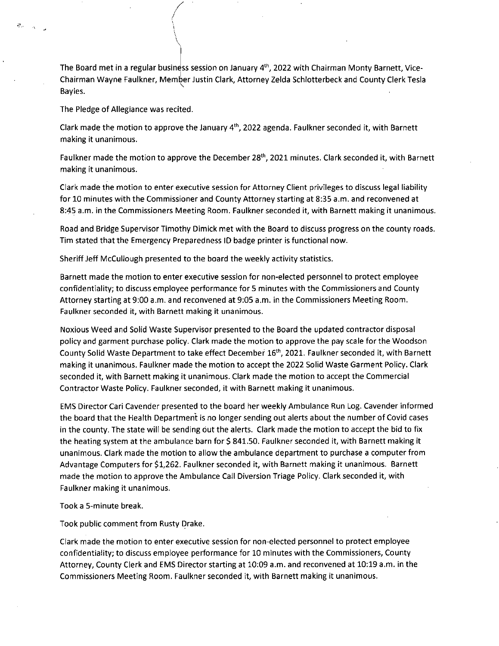The Board met in a regular business session on January 4<sup>th</sup>, 2022 with Chairman Monty Barnett, Vice-Chairman Wayne Faulkner, Member Justin Clark, Attorney Zelda Schlotterbeck and County Clerk Tesla Bayles.

The Pledge of Allegiance was recited.

 $\mathcal{L}_{\mathcal{L}}$  $\sim$ 

> Clark made the motion to approve the January  $4<sup>th</sup>$ , 2022 agenda. Faulkner seconded it, with Barnett making it unanimous.

Faulkner made the motion to approve the December  $28<sup>th</sup>$ , 2021 minutes. Clark seconded it, with Barnett making it unanimous.

Clark made the motion to enter executive session for Attorney Client privileges to discuss legal liability for 10 minutes with the Commissioner and County Attorney starting at 8:35 a.m. and reconvened at 8:45 a.m. in the Commissioners Meeting Room. Faulkner seconded it, with Barnett making it unanimous.

Road and Bridge Supervisor Timothy Dimick met with the Board to discuss progress on the county roads. Tim stated that the Emergency Preparedness ID badge printer is functional now.

Sheriff Jeff McCullough presented to the board the weekly activity statistics.

Barnett made the motion to enter executive session for non-elected personnel to protect employee confidentiality; to discuss employee performance for 5 minutes with the Commissioners and County Attorney starting at 9:00 a.m. and reconvened at 9:05 a.m. in the Commissioners Meeting Room. Faulkner seconded it, with Barnett making it unanimous.

Noxious Weed and Solid Waste Supervisor presented to the Board the updated contractor disposal policy and garment purchase policy. Clark made the motion to approve the pay scale for the Woodson County Solid Waste Department to take effect December 16<sup>th</sup>, 2021. Faulkner seconded it, with Barnett making it unanimous. Faulkner made the motion to accept the 2022 Solid Waste Garment Policy. Clark seconded it, with Barnett making it unanimous. Clark made the motion to accept the Commercial Contractor Waste Policy. Faulkner seconded, it with Barnett making it unanimous.

EMS Director Cari Cavender presented to the board her weekly Ambulance Run Log. Cavender informed the board that the Health Department is no longer sending out alerts about the number of Covid cases in the county. The state will be sending out the alerts. Clark made the motion to accept the bid to fix the heating system at the ambulance barn for \$841.50. Faulkner seconded it, with Barnett making it unanimous. Clark made the motion to allow the ambulance department to purchase a computer from Advantage Computers for \$1,262. Faulkner seconded it, with Barnett making it unanimous. Barnett made the motion to approve the Ambulance Call Diversion Triage Policy. Clark seconded it, with Faulkner making it unanimous.

Took a 5-minute break.

Took public comment from Rusty Drake.

Clark made the motion to enter executive session for non-elected personnel to protect employee confidentiality; to discuss employee performance for 10 minutes with the Commissioners, County Attorney, County Clerk and EMS Director starting at 10:09 a.m. and reconvened at 10:19 a.m. in the Commissioners Meeting Room. Faulkner seconded it, with Barnett making it unanimous.